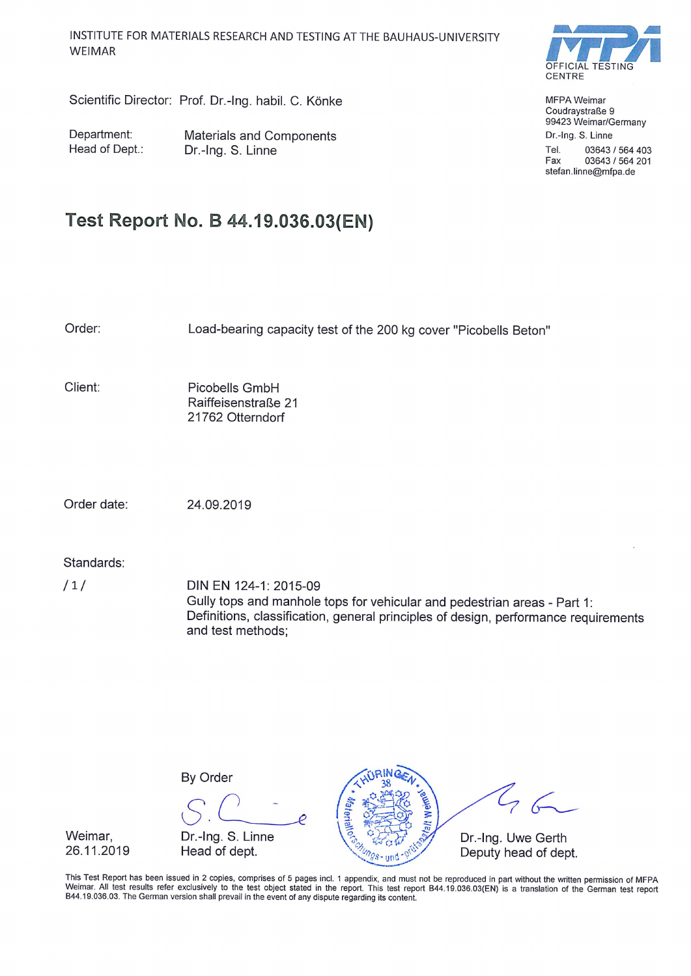OFFICIAL CENTRE

**MFPA Weimar** Coudraystraße 9 99423 Weimar/Germany Dr.-Ing. S. Linne

Tel. 03643 / 564 403 Fax 03643 / 564 201 stefan.linne@mfpa.de

# Scientific Director: Prof. Dr.-Ing. habil. C. Könke

Department: Head of Dept.: Materials and Components Dr.-Ing. S. Linne

# Test Report No. B 44.19.036.03(EN)

Order: Load-bearing capacity test of the 200 kg cover "Picobells Beton" Client: Picobells GmbH Raiffeisenstraße 21 21762 Otterndorf Order date: 24.09.2019 Standards:  $/1/$ DIN EN 124-1: 2015-09 Gully tops and manhole tops for vehicular and pedestrian areas - Part 1: Definitions, classification, general principles of design, performance requirements and test methods:

**By Order** 

Weimar. 26.11.2019

Dr.-Ing. S. Linne Head of dept.



This Test Report has been issued in 2 copies, comprises of 5 pages incl. 1 appendix, and must not be reproduced in part without the written permission of MFPA Weimar. All test results refer exclusively to the test object stated in the report. This test report B44.19.036.03(EN) is a translation of the German test report B44.19.036.03. The German version shall prevail in the event of any dispute regarding its content.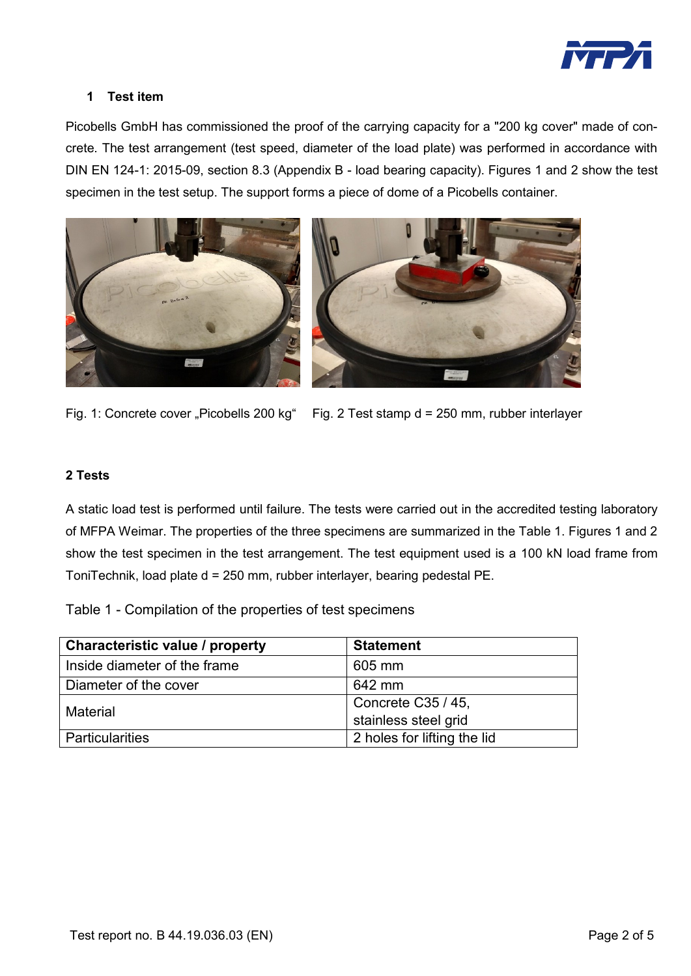

#### **1 Test item**

Picobells GmbH has commissioned the proof of the carrying capacity for a "200 kg cover" made of concrete. The test arrangement (test speed, diameter of the load plate) was performed in accordance with DIN EN 124-1: 2015-09, section 8.3 (Appendix B - load bearing capacity). Figures 1 and 2 show the test specimen in the test setup. The support forms a piece of dome of a Picobells container.



Fig. 1: Concrete cover "Picobells 200 kg" Fig. 2 Test stamp  $d = 250$  mm, rubber interlayer

#### **2 Tests**

A static load test is performed until failure. The tests were carried out in the accredited testing laboratory of MFPA Weimar. The properties of the three specimens are summarized in the Table 1. Figures 1 and 2 show the test specimen in the test arrangement. The test equipment used is a 100 kN load frame from ToniTechnik, load plate d = 250 mm, rubber interlayer, bearing pedestal PE.

Table 1 - Compilation of the properties of test specimens

| <b>Characteristic value / property</b> | <b>Statement</b>            |  |
|----------------------------------------|-----------------------------|--|
| Inside diameter of the frame           | 605 mm                      |  |
| Diameter of the cover                  | 642 mm                      |  |
| Material                               | Concrete C35 / 45,          |  |
|                                        | stainless steel grid        |  |
| <b>Particularities</b>                 | 2 holes for lifting the lid |  |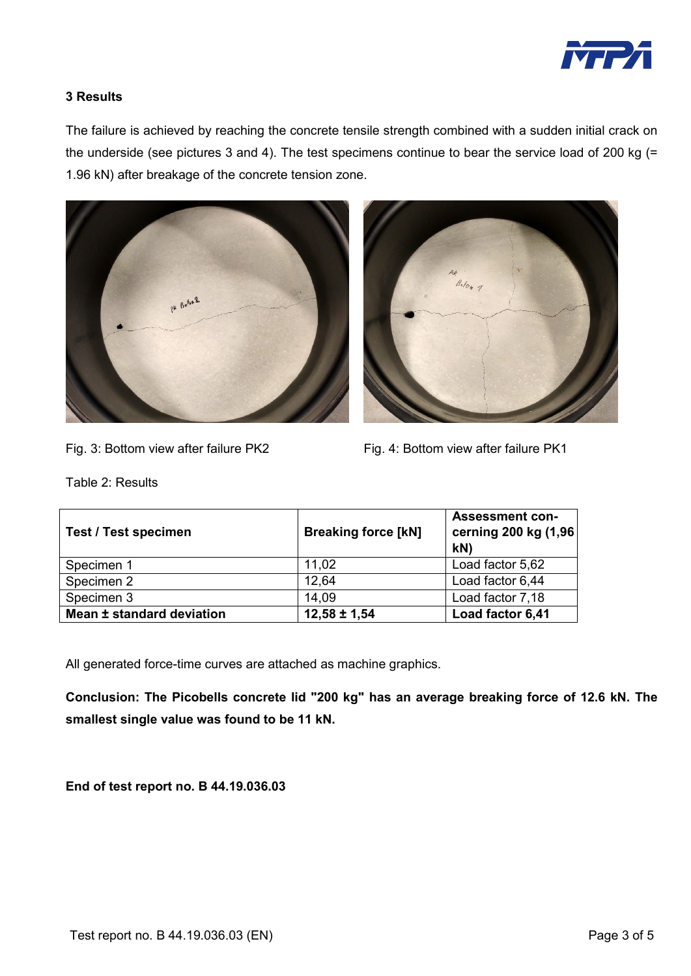

## **3 Results**

The failure is achieved by reaching the concrete tensile strength combined with a sudden initial crack on the underside (see pictures 3 and 4). The test specimens continue to bear the service load of 200 kg (= 1.96 kN) after breakage of the concrete tension zone.





Fig. 3: Bottom view after failure PK2 Fig. 4: Bottom view after failure PK1

Table 2: Results

| <b>Test / Test specimen</b> | <b>Breaking force [kN]</b> | <b>Assessment con-</b><br>cerning 200 kg (1,96<br>kN |
|-----------------------------|----------------------------|------------------------------------------------------|
| Specimen 1                  | 11.02                      | Load factor 5,62                                     |
| Specimen 2                  | 12.64                      | Load factor 6,44                                     |
| Specimen 3                  | 14.09                      | Load factor 7,18                                     |
| Mean ± standard deviation   | $12,58 \pm 1,54$           | Load factor 6,41                                     |

All generated force-time curves are attached as machine graphics.

**Conclusion: The Picobells concrete lid "200 kg" has an average breaking force of 12.6 kN. The smallest single value was found to be 11 kN.**

**End of test report no. B 44.19.036.03**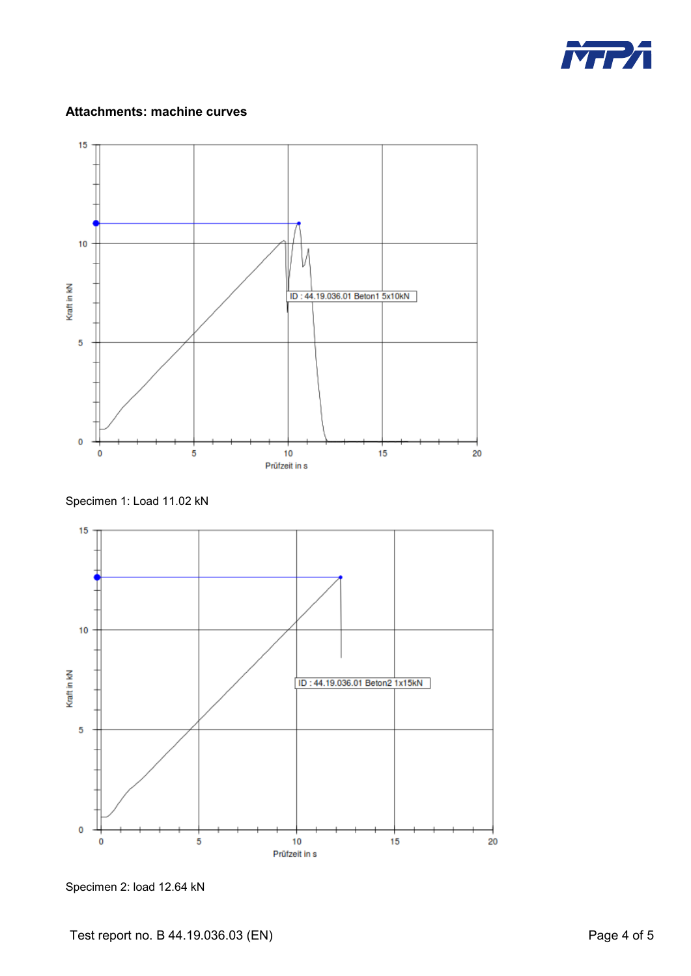

### **Attachments: machine curves**



Specimen 1: Load 11.02 kN



Specimen 2: load 12.64 kN